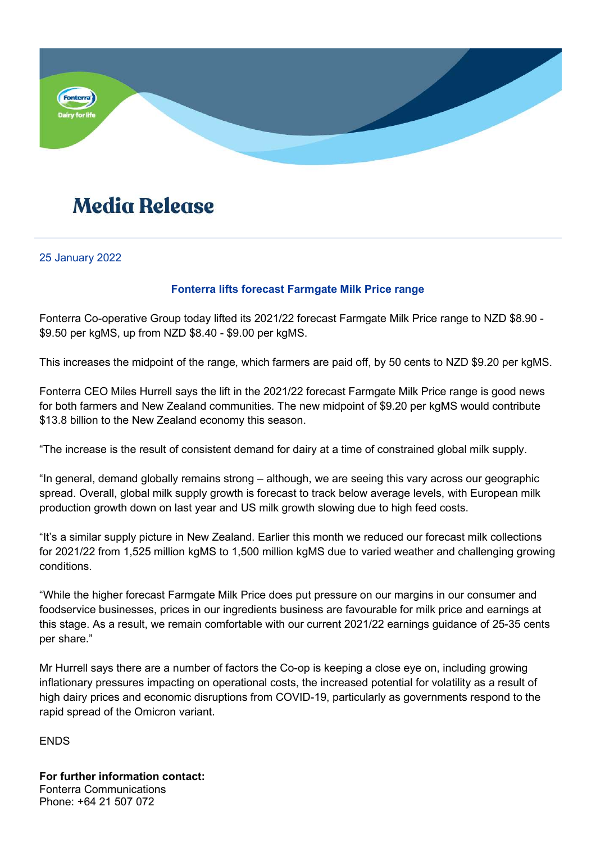

## **Media Release**

25 January 2022

## Fonterra lifts forecast Farmgate Milk Price range

Fonterra Co-operative Group today lifted its 2021/22 forecast Farmgate Milk Price range to NZD \$8.90 - \$9.50 per kgMS, up from NZD \$8.40 - \$9.00 per kgMS.

This increases the midpoint of the range, which farmers are paid off, by 50 cents to NZD \$9.20 per kgMS.

Fonterra CEO Miles Hurrell says the lift in the 2021/22 forecast Farmgate Milk Price range is good news for both farmers and New Zealand communities. The new midpoint of \$9.20 per kgMS would contribute \$13.8 billion to the New Zealand economy this season.

"The increase is the result of consistent demand for dairy at a time of constrained global milk supply.

"In general, demand globally remains strong – although, we are seeing this vary across our geographic spread. Overall, global milk supply growth is forecast to track below average levels, with European milk production growth down on last year and US milk growth slowing due to high feed costs.

"It's a similar supply picture in New Zealand. Earlier this month we reduced our forecast milk collections for 2021/22 from 1,525 million kgMS to 1,500 million kgMS due to varied weather and challenging growing conditions.

"While the higher forecast Farmgate Milk Price does put pressure on our margins in our consumer and foodservice businesses, prices in our ingredients business are favourable for milk price and earnings at this stage. As a result, we remain comfortable with our current 2021/22 earnings guidance of 25-35 cents per share."

Mr Hurrell says there are a number of factors the Co-op is keeping a close eye on, including growing inflationary pressures impacting on operational costs, the increased potential for volatility as a result of high dairy prices and economic disruptions from COVID-19, particularly as governments respond to the rapid spread of the Omicron variant.

**ENDS** 

For further information contact: Fonterra Communications Phone: +64 21 507 072